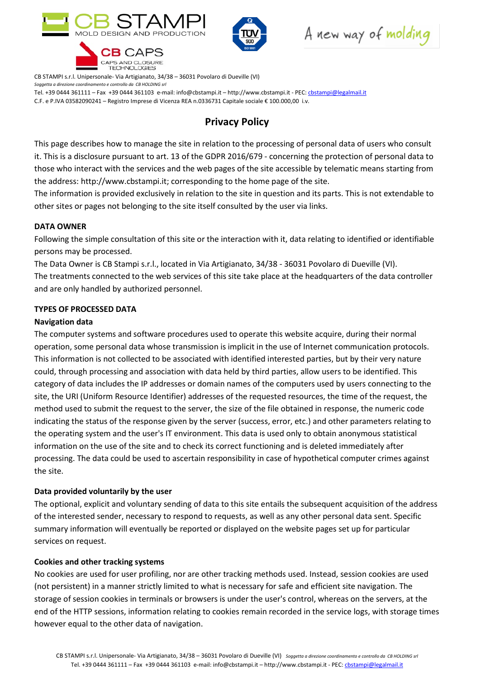

CAPS AND CLOSURE **TECHNOLOGIES** 



A new way of molding

CB STAMPI s.r.l. Unipersonale- Via Artigianato, 34/38 – 36031 Povolaro di Dueville (VI) Soggetta a direzione coordinamento e controllo da CB HOLDING srl

Tel. +39 0444 361111 – Fax +39 0444 361103 e-mail: info@cbstampi.it – http://www.cbstampi.it - PEC: cbstampi@legalmail.it

C.F. e P.IVA 03582090241 – Registro Imprese di Vicenza REA n.0336731 Capitale sociale € 100.000,00 i.v.

# Privacy Policy

This page describes how to manage the site in relation to the processing of personal data of users who consult it. This is a disclosure pursuant to art. 13 of the GDPR 2016/679 - concerning the protection of personal data to those who interact with the services and the web pages of the site accessible by telematic means starting from the address: http://www.cbstampi.it; corresponding to the home page of the site.

The information is provided exclusively in relation to the site in question and its parts. This is not extendable to other sites or pages not belonging to the site itself consulted by the user via links.

# DATA OWNER

Following the simple consultation of this site or the interaction with it, data relating to identified or identifiable persons may be processed.

The Data Owner is CB Stampi s.r.l., located in Via Artigianato, 34/38 - 36031 Povolaro di Dueville (VI). The treatments connected to the web services of this site take place at the headquarters of the data controller and are only handled by authorized personnel.

# TYPES OF PROCESSED DATA

# Navigation data

The computer systems and software procedures used to operate this website acquire, during their normal operation, some personal data whose transmission is implicit in the use of Internet communication protocols. This information is not collected to be associated with identified interested parties, but by their very nature could, through processing and association with data held by third parties, allow users to be identified. This category of data includes the IP addresses or domain names of the computers used by users connecting to the site, the URI (Uniform Resource Identifier) addresses of the requested resources, the time of the request, the method used to submit the request to the server, the size of the file obtained in response, the numeric code indicating the status of the response given by the server (success, error, etc.) and other parameters relating to the operating system and the user's IT environment. This data is used only to obtain anonymous statistical information on the use of the site and to check its correct functioning and is deleted immediately after processing. The data could be used to ascertain responsibility in case of hypothetical computer crimes against the site.

# Data provided voluntarily by the user

The optional, explicit and voluntary sending of data to this site entails the subsequent acquisition of the address of the interested sender, necessary to respond to requests, as well as any other personal data sent. Specific summary information will eventually be reported or displayed on the website pages set up for particular services on request.

#### Cookies and other tracking systems

No cookies are used for user profiling, nor are other tracking methods used. Instead, session cookies are used (not persistent) in a manner strictly limited to what is necessary for safe and efficient site navigation. The storage of session cookies in terminals or browsers is under the user's control, whereas on the servers, at the end of the HTTP sessions, information relating to cookies remain recorded in the service logs, with storage times however equal to the other data of navigation.